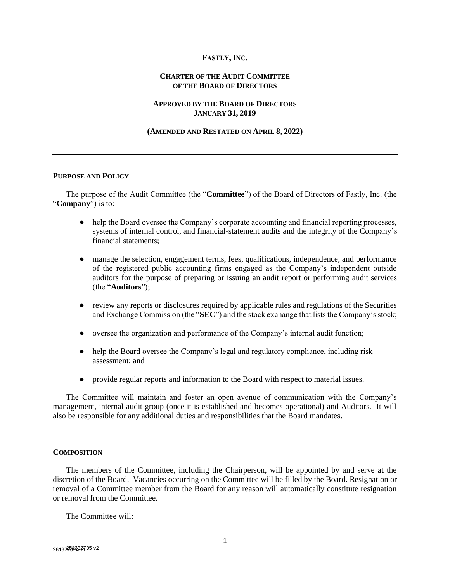# **FASTLY, INC.**

## **CHARTER OF THE AUDIT COMMITTEE OF THE BOARD OF DIRECTORS**

# **APPROVED BY THE BOARD OF DIRECTORS JANUARY 31, 2019**

#### **(AMENDED AND RESTATED ON APRIL 8, 2022)**

#### **PURPOSE AND POLICY**

The purpose of the Audit Committee (the "**Committee**") of the Board of Directors of Fastly, Inc. (the "**Company**") is to:

- help the Board oversee the Company's corporate accounting and financial reporting processes, systems of internal control, and financial-statement audits and the integrity of the Company's financial statements;
- manage the selection, engagement terms, fees, qualifications, independence, and performance of the registered public accounting firms engaged as the Company's independent outside auditors for the purpose of preparing or issuing an audit report or performing audit services (the "**Auditors**");
- review any reports or disclosures required by applicable rules and regulations of the Securities and Exchange Commission (the "**SEC**") and the stock exchange that lists the Company's stock;
- oversee the organization and performance of the Company's internal audit function;
- help the Board oversee the Company's legal and regulatory compliance, including risk assessment; and
- provide regular reports and information to the Board with respect to material issues.

The Committee will maintain and foster an open avenue of communication with the Company's management, internal audit group (once it is established and becomes operational) and Auditors. It will also be responsible for any additional duties and responsibilities that the Board mandates.

## **COMPOSITION**

The members of the Committee, including the Chairperson, will be appointed by and serve at the discretion of the Board. Vacancies occurring on the Committee will be filled by the Board. Resignation or removal of a Committee member from the Board for any reason will automatically constitute resignation or removal from the Committee.

The Committee will: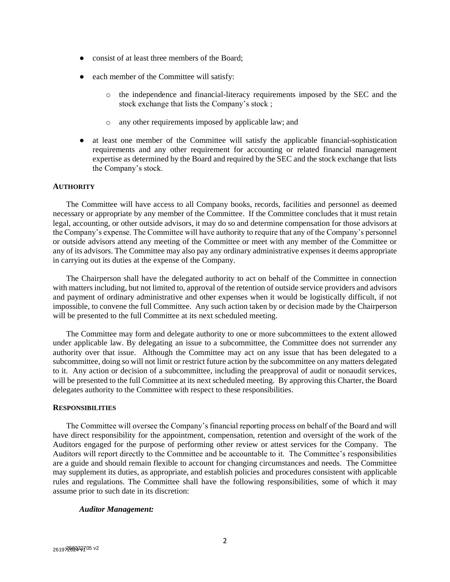- consist of at least three members of the Board:
- each member of the Committee will satisfy:
	- o the independence and financial-literacy requirements imposed by the SEC and the stock exchange that lists the Company's stock ;
	- o any other requirements imposed by applicable law; and
- at least one member of the Committee will satisfy the applicable financial-sophistication requirements and any other requirement for accounting or related financial management expertise as determined by the Board and required by the SEC and the stock exchange that lists the Company's stock.

#### **AUTHORITY**

The Committee will have access to all Company books, records, facilities and personnel as deemed necessary or appropriate by any member of the Committee. If the Committee concludes that it must retain legal, accounting, or other outside advisors, it may do so and determine compensation for those advisors at the Company's expense. The Committee will have authority to require that any of the Company's personnel or outside advisors attend any meeting of the Committee or meet with any member of the Committee or any of its advisors. The Committee may also pay any ordinary administrative expenses it deems appropriate in carrying out its duties at the expense of the Company.

The Chairperson shall have the delegated authority to act on behalf of the Committee in connection with matters including, but not limited to, approval of the retention of outside service providers and advisors and payment of ordinary administrative and other expenses when it would be logistically difficult, if not impossible, to convene the full Committee. Any such action taken by or decision made by the Chairperson will be presented to the full Committee at its next scheduled meeting.

The Committee may form and delegate authority to one or more subcommittees to the extent allowed under applicable law. By delegating an issue to a subcommittee, the Committee does not surrender any authority over that issue. Although the Committee may act on any issue that has been delegated to a subcommittee, doing so will not limit or restrict future action by the subcommittee on any matters delegated to it. Any action or decision of a subcommittee, including the preapproval of audit or nonaudit services, will be presented to the full Committee at its next scheduled meeting. By approving this Charter, the Board delegates authority to the Committee with respect to these responsibilities.

#### **RESPONSIBILITIES**

The Committee will oversee the Company's financial reporting process on behalf of the Board and will have direct responsibility for the appointment, compensation, retention and oversight of the work of the Auditors engaged for the purpose of performing other review or attest services for the Company. The Auditors will report directly to the Committee and be accountable to it. The Committee's responsibilities are a guide and should remain flexible to account for changing circumstances and needs. The Committee may supplement its duties, as appropriate, and establish policies and procedures consistent with applicable rules and regulations. The Committee shall have the following responsibilities, some of which it may assume prior to such date in its discretion:

#### *Auditor Management:*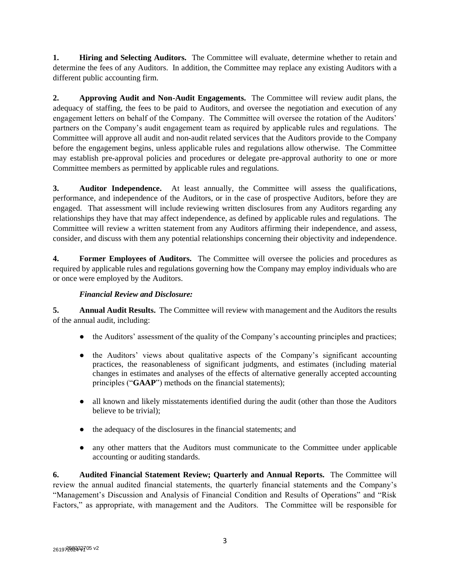**1. Hiring and Selecting Auditors.** The Committee will evaluate, determine whether to retain and determine the fees of any Auditors. In addition, the Committee may replace any existing Auditors with a different public accounting firm.

**2. Approving Audit and Non-Audit Engagements.** The Committee will review audit plans, the adequacy of staffing, the fees to be paid to Auditors, and oversee the negotiation and execution of any engagement letters on behalf of the Company. The Committee will oversee the rotation of the Auditors' partners on the Company's audit engagement team as required by applicable rules and regulations. The Committee will approve all audit and non-audit related services that the Auditors provide to the Company before the engagement begins, unless applicable rules and regulations allow otherwise. The Committee may establish pre-approval policies and procedures or delegate pre-approval authority to one or more Committee members as permitted by applicable rules and regulations.

**3. Auditor Independence.** At least annually, the Committee will assess the qualifications, performance, and independence of the Auditors, or in the case of prospective Auditors, before they are engaged. That assessment will include reviewing written disclosures from any Auditors regarding any relationships they have that may affect independence, as defined by applicable rules and regulations. The Committee will review a written statement from any Auditors affirming their independence, and assess, consider, and discuss with them any potential relationships concerning their objectivity and independence.

**4. Former Employees of Auditors.** The Committee will oversee the policies and procedures as required by applicable rules and regulations governing how the Company may employ individuals who are or once were employed by the Auditors.

# *Financial Review and Disclosure:*

**5. Annual Audit Results.** The Committee will review with management and the Auditors the results of the annual audit, including:

- the Auditors' assessment of the quality of the Company's accounting principles and practices;
- the Auditors' views about qualitative aspects of the Company's significant accounting practices, the reasonableness of significant judgments, and estimates (including material changes in estimates and analyses of the effects of alternative generally accepted accounting principles ("**GAAP**") methods on the financial statements);
- all known and likely misstatements identified during the audit (other than those the Auditors believe to be trivial);
- the adequacy of the disclosures in the financial statements; and
- any other matters that the Auditors must communicate to the Committee under applicable accounting or auditing standards.

**6. Audited Financial Statement Review; Quarterly and Annual Reports.** The Committee will review the annual audited financial statements, the quarterly financial statements and the Company's "Management's Discussion and Analysis of Financial Condition and Results of Operations" and "Risk Factors," as appropriate, with management and the Auditors. The Committee will be responsible for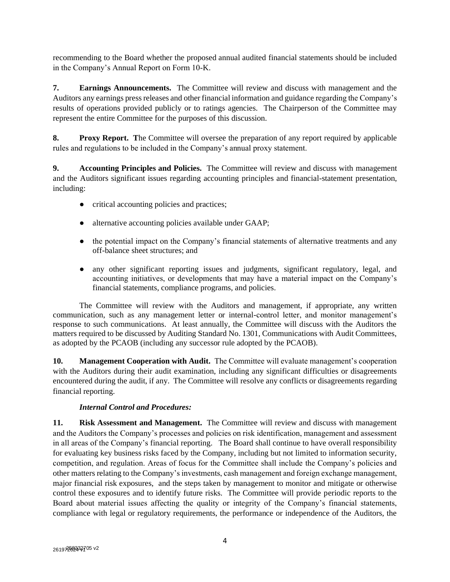recommending to the Board whether the proposed annual audited financial statements should be included in the Company's Annual Report on Form 10-K.

**7. Earnings Announcements.** The Committee will review and discuss with management and the Auditors any earnings press releases and other financial information and guidance regarding the Company's results of operations provided publicly or to ratings agencies. The Chairperson of the Committee may represent the entire Committee for the purposes of this discussion.

**8. Proxy Report. T**he Committee will oversee the preparation of any report required by applicable rules and regulations to be included in the Company's annual proxy statement.

**9. Accounting Principles and Policies.** The Committee will review and discuss with management and the Auditors significant issues regarding accounting principles and financial-statement presentation, including:

- critical accounting policies and practices;
- alternative accounting policies available under GAAP;
- the potential impact on the Company's financial statements of alternative treatments and any off-balance sheet structures; and
- any other significant reporting issues and judgments, significant regulatory, legal, and accounting initiatives, or developments that may have a material impact on the Company's financial statements, compliance programs, and policies.

The Committee will review with the Auditors and management, if appropriate, any written communication, such as any management letter or internal-control letter, and monitor management's response to such communications. At least annually, the Committee will discuss with the Auditors the matters required to be discussed by Auditing Standard No. 1301, Communications with Audit Committees, as adopted by the PCAOB (including any successor rule adopted by the PCAOB).

**10. Management Cooperation with Audit.** The Committee will evaluate management's cooperation with the Auditors during their audit examination, including any significant difficulties or disagreements encountered during the audit, if any. The Committee will resolve any conflicts or disagreements regarding financial reporting.

# *Internal Control and Procedures:*

**11. Risk Assessment and Management.** The Committee will review and discuss with management and the Auditors the Company's processes and policies on risk identification, management and assessment in all areas of the Company's financial reporting. The Board shall continue to have overall responsibility for evaluating key business risks faced by the Company, including but not limited to information security, competition, and regulation. Areas of focus for the Committee shall include the Company's policies and other matters relating to the Company's investments, cash management and foreign exchange management, major financial risk exposures,and the steps taken by management to monitor and mitigate or otherwise control these exposures and to identify future risks. The Committee will provide periodic reports to the Board about material issues affecting the quality or integrity of the Company's financial statements, compliance with legal or regulatory requirements, the performance or independence of the Auditors, the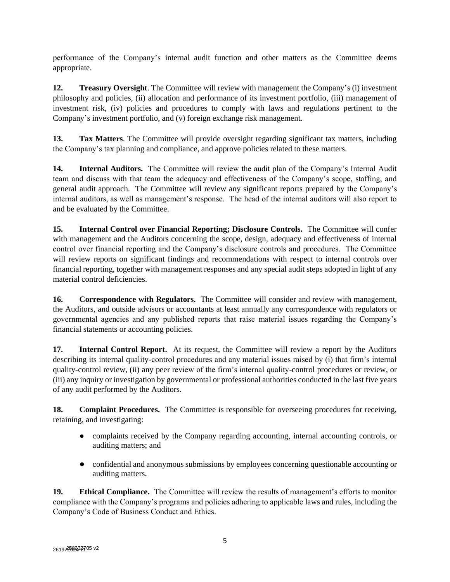performance of the Company's internal audit function and other matters as the Committee deems appropriate.

**12. Treasury Oversight**. The Committee will review with management the Company's (i) investment philosophy and policies, (ii) allocation and performance of its investment portfolio, (iii) management of investment risk, (iv) policies and procedures to comply with laws and regulations pertinent to the Company's investment portfolio, and (v) foreign exchange risk management.

**13. Tax Matters**. The Committee will provide oversight regarding significant tax matters, including the Company's tax planning and compliance, and approve policies related to these matters.

**14. Internal Auditors.** The Committee will review the audit plan of the Company's Internal Audit team and discuss with that team the adequacy and effectiveness of the Company's scope, staffing, and general audit approach. The Committee will review any significant reports prepared by the Company's internal auditors, as well as management's response. The head of the internal auditors will also report to and be evaluated by the Committee.

**15. Internal Control over Financial Reporting; Disclosure Controls.** The Committee will confer with management and the Auditors concerning the scope, design, adequacy and effectiveness of internal control over financial reporting and the Company's disclosure controls and procedures. The Committee will review reports on significant findings and recommendations with respect to internal controls over financial reporting, together with management responses and any special audit steps adopted in light of any material control deficiencies.

**16. Correspondence with Regulators.** The Committee will consider and review with management, the Auditors, and outside advisors or accountants at least annually any correspondence with regulators or governmental agencies and any published reports that raise material issues regarding the Company's financial statements or accounting policies.

**17. Internal Control Report.** At its request, the Committee will review a report by the Auditors describing its internal quality-control procedures and any material issues raised by (i) that firm's internal quality-control review, (ii) any peer review of the firm's internal quality-control procedures or review, or (iii) any inquiry or investigation by governmental or professional authorities conducted in the last five years of any audit performed by the Auditors.

**18. Complaint Procedures.** The Committee is responsible for overseeing procedures for receiving, retaining, and investigating:

- complaints received by the Company regarding accounting, internal accounting controls, or auditing matters; and
- confidential and anonymous submissions by employees concerning questionable accounting or auditing matters.

**19. Ethical Compliance.** The Committee will review the results of management's efforts to monitor compliance with the Company's programs and policies adhering to applicable laws and rules, including the Company's Code of Business Conduct and Ethics.